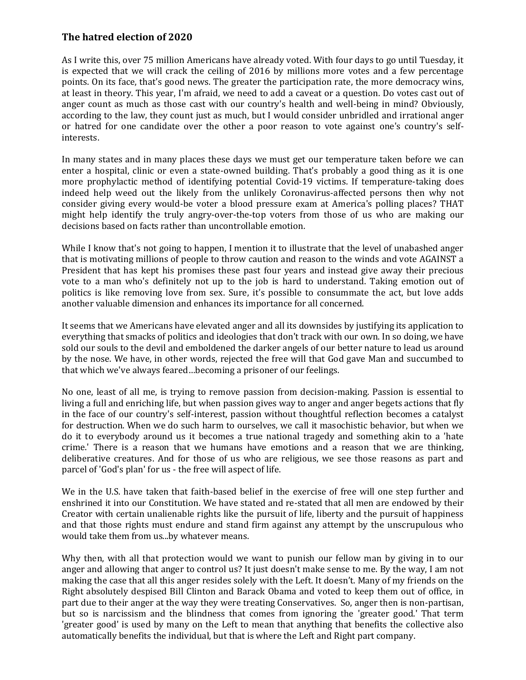## **The hatred election of 2020**

As I write this, over 75 million Americans have already voted. With four days to go until Tuesday, it is expected that we will crack the ceiling of 2016 by millions more votes and a few percentage points. On its face, that's good news. The greater the participation rate, the more democracy wins, at least in theory. This year, I'm afraid, we need to add a caveat or a question. Do votes cast out of anger count as much as those cast with our country's health and well-being in mind? Obviously, according to the law, they count just as much, but I would consider unbridled and irrational anger or hatred for one candidate over the other a poor reason to vote against one's country's selfinterests.

In many states and in many places these days we must get our temperature taken before we can enter a hospital, clinic or even a state-owned building. That's probably a good thing as it is one more prophylactic method of identifying potential Covid-19 victims. If temperature-taking does indeed help weed out the likely from the unlikely Coronavirus-affected persons then why not consider giving every would-be voter a blood pressure exam at America's polling places? THAT might help identify the truly angry-over-the-top voters from those of us who are making our decisions based on facts rather than uncontrollable emotion.

While I know that's not going to happen, I mention it to illustrate that the level of unabashed anger that is motivating millions of people to throw caution and reason to the winds and vote AGAINST a President that has kept his promises these past four years and instead give away their precious vote to a man who's definitely not up to the job is hard to understand. Taking emotion out of politics is like removing love from sex. Sure, it's possible to consummate the act, but love adds another valuable dimension and enhances its importance for all concerned.

It seems that we Americans have elevated anger and all its downsides by justifying its application to everything that smacks of politics and ideologies that don't track with our own. In so doing, we have sold our souls to the devil and emboldened the darker angels of our better nature to lead us around by the nose. We have, in other words, rejected the free will that God gave Man and succumbed to that which we've always feared…becoming a prisoner of our feelings.

No one, least of all me, is trying to remove passion from decision-making. Passion is essential to living a full and enriching life, but when passion gives way to anger and anger begets actions that fly in the face of our country's self-interest, passion without thoughtful reflection becomes a catalyst for destruction. When we do such harm to ourselves, we call it masochistic behavior, but when we do it to everybody around us it becomes a true national tragedy and something akin to a 'hate crime.' There is a reason that we humans have emotions and a reason that we are thinking, deliberative creatures. And for those of us who are religious, we see those reasons as part and parcel of 'God's plan' for us - the free will aspect of life.

We in the U.S. have taken that faith-based belief in the exercise of free will one step further and enshrined it into our Constitution. We have stated and re-stated that all men are endowed by their Creator with certain unalienable rights like the pursuit of life, liberty and the pursuit of happiness and that those rights must endure and stand firm against any attempt by the unscrupulous who would take them from us...by whatever means.

Why then, with all that protection would we want to punish our fellow man by giving in to our anger and allowing that anger to control us? It just doesn't make sense to me. By the way, I am not making the case that all this anger resides solely with the Left. It doesn't. Many of my friends on the Right absolutely despised Bill Clinton and Barack Obama and voted to keep them out of office, in part due to their anger at the way they were treating Conservatives. So, anger then is non-partisan, but so is narcissism and the blindness that comes from ignoring the 'greater good.' That term 'greater good' is used by many on the Left to mean that anything that benefits the collective also automatically benefits the individual, but that is where the Left and Right part company.